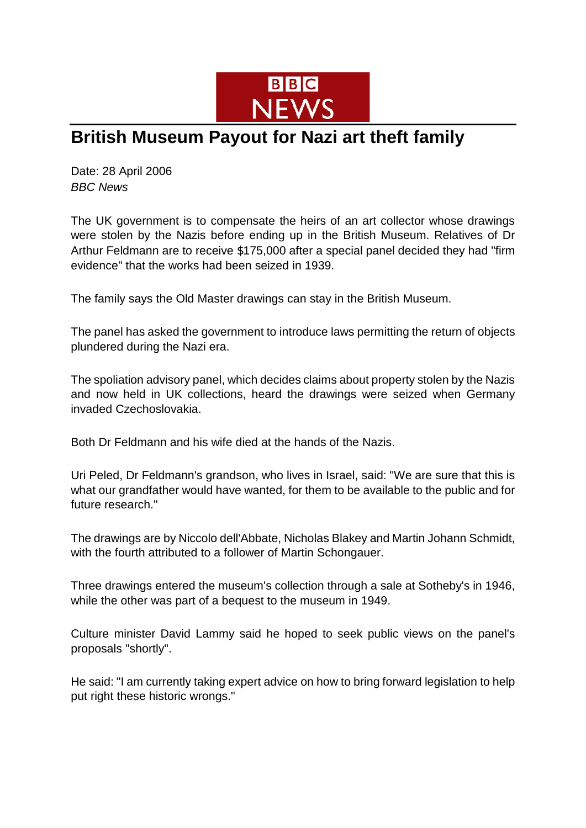

## **British Museum Payout for Nazi art theft family**

Date: 28 April 2006 *BBC News*

The UK government is to compensate the heirs of an art collector whose drawings were stolen by the Nazis before ending up in the British Museum. Relatives of Dr Arthur Feldmann are to receive \$175,000 after a special panel decided they had "firm evidence" that the works had been seized in 1939.

The family says the Old Master drawings can stay in the British Museum.

The panel has asked the government to introduce laws permitting the return of objects plundered during the Nazi era.

The spoliation advisory panel, which decides claims about property stolen by the Nazis and now held in UK collections, heard the drawings were seized when Germany invaded Czechoslovakia.

Both Dr Feldmann and his wife died at the hands of the Nazis.

Uri Peled, Dr Feldmann's grandson, who lives in Israel, said: "We are sure that this is what our grandfather would have wanted, for them to be available to the public and for future research."

The drawings are by Niccolo dell'Abbate, Nicholas Blakey and Martin Johann Schmidt, with the fourth attributed to a follower of Martin Schongauer.

Three drawings entered the museum's collection through a sale at Sotheby's in 1946, while the other was part of a bequest to the museum in 1949.

Culture minister David Lammy said he hoped to seek public views on the panel's proposals "shortly".

He said: "I am currently taking expert advice on how to bring forward legislation to help put right these historic wrongs."